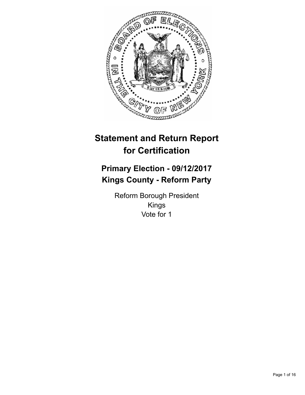

# **Statement and Return Report for Certification**

## **Primary Election - 09/12/2017 Kings County - Reform Party**

Reform Borough President Kings Vote for 1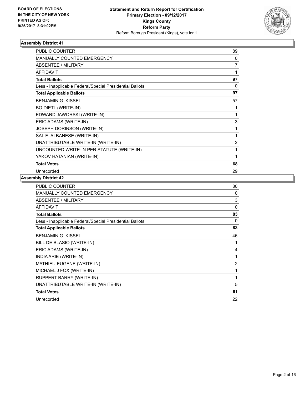

| <b>PUBLIC COUNTER</b>                                    | 89             |
|----------------------------------------------------------|----------------|
| <b>MANUALLY COUNTED EMERGENCY</b>                        | $\Omega$       |
| ABSENTEE / MILITARY                                      | 7              |
| <b>AFFIDAVIT</b>                                         | 1              |
| <b>Total Ballots</b>                                     | 97             |
| Less - Inapplicable Federal/Special Presidential Ballots | $\Omega$       |
| <b>Total Applicable Ballots</b>                          | 97             |
| <b>BENJAMIN G. KISSEL</b>                                | 57             |
| <b>BO DIETL (WRITE-IN)</b>                               | 1              |
| EDWARD JAWORSKI (WRITE-IN)                               | 1              |
| ERIC ADAMS (WRITE-IN)                                    | 3              |
| JOSEPH DORINSON (WRITE-IN)                               | 1              |
| SAL F. ALBANESE (WRITE-IN)                               | 1              |
| UNATTRIBUTABLE WRITE-IN (WRITE-IN)                       | $\overline{2}$ |
| UNCOUNTED WRITE-IN PER STATUTE (WRITE-IN)                | 1              |
| YAKOV HATANIAN (WRITE-IN)                                | 1              |
| <b>Total Votes</b>                                       | 68             |
| Unrecorded                                               | 29             |

| PUBLIC COUNTER                                           | 80             |
|----------------------------------------------------------|----------------|
| <b>MANUALLY COUNTED EMERGENCY</b>                        | 0              |
| ABSENTEE / MILITARY                                      | 3              |
| <b>AFFIDAVIT</b>                                         | 0              |
| <b>Total Ballots</b>                                     | 83             |
| Less - Inapplicable Federal/Special Presidential Ballots | 0              |
| <b>Total Applicable Ballots</b>                          | 83             |
| <b>BENJAMIN G. KISSEL</b>                                | 46             |
| BILL DE BLASIO (WRITE-IN)                                | 1              |
| ERIC ADAMS (WRITE-IN)                                    | 4              |
| INDIA ARIE (WRITE-IN)                                    | 1              |
| MATHIEU EUGENE (WRITE-IN)                                | $\overline{2}$ |
| MICHAEL J FOX (WRITE-IN)                                 | 1              |
| RUPPERT BARRY (WRITE-IN)                                 | 1              |
| UNATTRIBUTABLE WRITE-IN (WRITE-IN)                       | 5              |
| <b>Total Votes</b>                                       | 61             |
| Unrecorded                                               | 22             |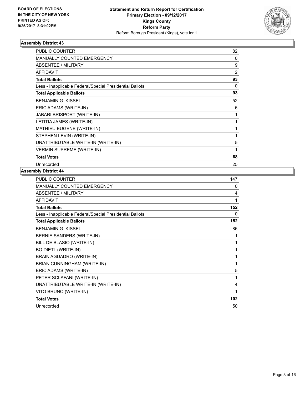

| <b>PUBLIC COUNTER</b>                                    | 82             |
|----------------------------------------------------------|----------------|
| MANUALLY COUNTED EMERGENCY                               | 0              |
| ABSENTEE / MILITARY                                      | 9              |
| <b>AFFIDAVIT</b>                                         | $\overline{2}$ |
| <b>Total Ballots</b>                                     | 93             |
| Less - Inapplicable Federal/Special Presidential Ballots | $\Omega$       |
| <b>Total Applicable Ballots</b>                          | 93             |
| <b>BENJAMIN G. KISSEL</b>                                | 52             |
| ERIC ADAMS (WRITE-IN)                                    | 6              |
| JABARI BRISPORT (WRITE-IN)                               | 1              |
| LETITIA JAMES (WRITE-IN)                                 | 1              |
| <b>MATHIEU EUGENE (WRITE-IN)</b>                         | 1              |
| STEPHEN LEVIN (WRITE-IN)                                 | 1              |
| UNATTRIBUTABLE WRITE-IN (WRITE-IN)                       | 5              |
| <b>VERMIN SUPREME (WRITE-IN)</b>                         | 1              |
| <b>Total Votes</b>                                       | 68             |
| Unrecorded                                               | 25             |

| PUBLIC COUNTER                                           | 147      |
|----------------------------------------------------------|----------|
| <b>MANUALLY COUNTED EMERGENCY</b>                        | 0        |
| <b>ABSENTEE / MILITARY</b>                               | 4        |
| <b>AFFIDAVIT</b>                                         | 1        |
| <b>Total Ballots</b>                                     | 152      |
| Less - Inapplicable Federal/Special Presidential Ballots | $\Omega$ |
| <b>Total Applicable Ballots</b>                          | 152      |
| <b>BENJAMIN G. KISSEL</b>                                | 86       |
| BERNIE SANDERS (WRITE-IN)                                | 1        |
| BILL DE BLASIO (WRITE-IN)                                | 1        |
| <b>BO DIETL (WRITE-IN)</b>                               | 1        |
| BRAIN AGUADRO (WRITE-IN)                                 | 1        |
| BRIAN CUNNINGHAM (WRITE-IN)                              | 1        |
| ERIC ADAMS (WRITE-IN)                                    | 5        |
| PETER SCLAFANI (WRITE-IN)                                | 1        |
| UNATTRIBUTABLE WRITE-IN (WRITE-IN)                       | 4        |
| VITO BRUNO (WRITE-IN)                                    | 1        |
| <b>Total Votes</b>                                       | 102      |
| Unrecorded                                               | 50       |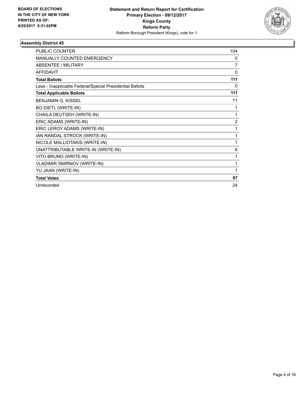

| <b>PUBLIC COUNTER</b>                                    | 104            |
|----------------------------------------------------------|----------------|
| <b>MANUALLY COUNTED EMERGENCY</b>                        | 0              |
| <b>ABSENTEE / MILITARY</b>                               | 7              |
| <b>AFFIDAVIT</b>                                         | $\mathbf{0}$   |
| <b>Total Ballots</b>                                     | 111            |
| Less - Inapplicable Federal/Special Presidential Ballots | 0              |
| <b>Total Applicable Ballots</b>                          | 111            |
| <b>BENJAMIN G. KISSEL</b>                                | 71             |
| <b>BO DIETL (WRITE-IN)</b>                               | 1              |
| CHAILA DEUTSEH (WRITE-IN)                                | 1              |
| ERIC ADAMS (WRITE-IN)                                    | $\overline{2}$ |
| ERIC LEROY ADAMS (WRITE-IN)                              | 1              |
| IAN RANDAL STROCK (WRITE-IN)                             | 1              |
| NICOLE MALLIOTAKIS (WRITE-IN)                            | 1              |
| UNATTRIBUTABLE WRITE-IN (WRITE-IN)                       | 6              |
| VITO BRUNO (WRITE-IN)                                    | 1              |
| <b>VLADIMIR SMIRNOV (WRITE-IN)</b>                       | 1              |
| YU JAAN (WRITE-IN)                                       | 1              |
| <b>Total Votes</b>                                       | 87             |
| Unrecorded                                               | 24             |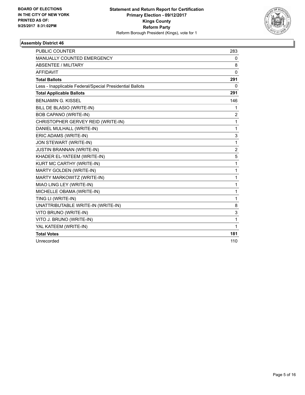

| <b>PUBLIC COUNTER</b>                                    | 283            |
|----------------------------------------------------------|----------------|
| <b>MANUALLY COUNTED EMERGENCY</b>                        | 0              |
| <b>ABSENTEE / MILITARY</b>                               | 8              |
| <b>AFFIDAVIT</b>                                         | $\mathbf{0}$   |
| <b>Total Ballots</b>                                     | 291            |
| Less - Inapplicable Federal/Special Presidential Ballots | $\mathbf{0}$   |
| <b>Total Applicable Ballots</b>                          | 291            |
| <b>BENJAMIN G. KISSEL</b>                                | 146            |
| BILL DE BLASIO (WRITE-IN)                                | 1              |
| <b>BOB CAPANO (WRITE-IN)</b>                             | 2              |
| CHRISTOPHER GERVEY REID (WRITE-IN)                       | 1              |
| DANIEL MULHALL (WRITE-IN)                                | 1              |
| ERIC ADAMS (WRITE-IN)                                    | 3              |
| JON STEWART (WRITE-IN)                                   | 1              |
| <b>JUSTIN BRANNAN (WRITE-IN)</b>                         | $\overline{2}$ |
| KHADER EL-YATEEM (WRITE-IN)                              | 5              |
| KURT MC CARTHY (WRITE-IN)                                | 1              |
| MARTY GOLDEN (WRITE-IN)                                  | 1              |
| MARTY MARKOWITZ (WRITE-IN)                               | $\mathbf{1}$   |
| MIAO LING LEY (WRITE-IN)                                 | 1              |
| MICHELLE OBAMA (WRITE-IN)                                | 1              |
| TING LI (WRITE-IN)                                       | 1              |
| UNATTRIBUTABLE WRITE-IN (WRITE-IN)                       | 8              |
| VITO BRUNO (WRITE-IN)                                    | 3              |
| VITO J. BRUNO (WRITE-IN)                                 | 1              |
| YAL KATEEM (WRITE-IN)                                    | 1              |
| <b>Total Votes</b>                                       | 181            |
| Unrecorded                                               | 110            |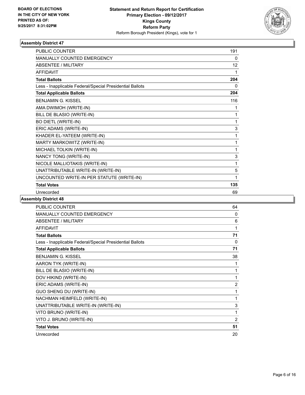

| PUBLIC COUNTER                                           | 191 |
|----------------------------------------------------------|-----|
| MANUALLY COUNTED EMERGENCY                               | 0   |
| <b>ABSENTEE / MILITARY</b>                               | 12  |
| <b>AFFIDAVIT</b>                                         | 1   |
| <b>Total Ballots</b>                                     | 204 |
| Less - Inapplicable Federal/Special Presidential Ballots | 0   |
| <b>Total Applicable Ballots</b>                          | 204 |
| <b>BENJAMIN G. KISSEL</b>                                | 116 |
| AMA DWIMOH (WRITE-IN)                                    | 1   |
| BILL DE BLASIO (WRITE-IN)                                | 1   |
| <b>BO DIETL (WRITE-IN)</b>                               | 1   |
| ERIC ADAMS (WRITE-IN)                                    | 3   |
| KHADER EL-YATEEM (WRITE-IN)                              | 1   |
| MARTY MARKOWITZ (WRITE-IN)                               | 1   |
| MICHAEL TOLKIN (WRITE-IN)                                | 1   |
| NANCY TONG (WRITE-IN)                                    | 3   |
| NICOLE MALLIOTAKIS (WRITE-IN)                            | 1   |
| UNATTRIBUTABLE WRITE-IN (WRITE-IN)                       | 5   |
| UNCOUNTED WRITE-IN PER STATUTE (WRITE-IN)                | 1   |
| <b>Total Votes</b>                                       | 135 |
| Unrecorded                                               | 69  |

| <b>PUBLIC COUNTER</b>                                    | 64             |
|----------------------------------------------------------|----------------|
| <b>MANUALLY COUNTED EMERGENCY</b>                        | 0              |
| ABSENTEE / MILITARY                                      | 6              |
| <b>AFFIDAVIT</b>                                         | 1              |
| <b>Total Ballots</b>                                     | 71             |
| Less - Inapplicable Federal/Special Presidential Ballots | 0              |
| <b>Total Applicable Ballots</b>                          | 71             |
| <b>BENJAMIN G. KISSEL</b>                                | 38             |
| AARON TYK (WRITE-IN)                                     | 1              |
| BILL DE BLASIO (WRITE-IN)                                | 1              |
| DOV HIKIND (WRITE-IN)                                    | 1              |
| ERIC ADAMS (WRITE-IN)                                    | $\overline{2}$ |
| GUO SHENG DU (WRITE-IN)                                  | 1              |
| NACHMAN HEIMFELD (WRITE-IN)                              | 1              |
| UNATTRIBUTABLE WRITE-IN (WRITE-IN)                       | 3              |
| VITO BRUNO (WRITE-IN)                                    | 1              |
| VITO J. BRUNO (WRITE-IN)                                 | $\overline{2}$ |
| <b>Total Votes</b>                                       | 51             |
| Unrecorded                                               | 20             |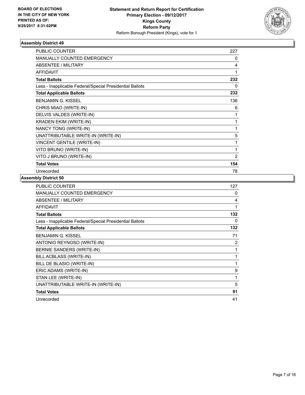

| <b>PUBLIC COUNTER</b>                                    | 227            |
|----------------------------------------------------------|----------------|
| <b>MANUALLY COUNTED EMERGENCY</b>                        | 0              |
| <b>ABSENTEE / MILITARY</b>                               | 4              |
| <b>AFFIDAVIT</b>                                         | 1              |
| <b>Total Ballots</b>                                     | 232            |
| Less - Inapplicable Federal/Special Presidential Ballots | 0              |
| <b>Total Applicable Ballots</b>                          | 232            |
| <b>BENJAMIN G. KISSEL</b>                                | 136            |
| CHRIS MIAO (WRITE-IN)                                    | 6              |
| DELVIS VALDES (WRITE-IN)                                 | 1              |
| <b>KRADEN EKIM (WRITE-IN)</b>                            | 1              |
| NANCY TONG (WRITE-IN)                                    | 1              |
| UNATTRIBUTABLE WRITE-IN (WRITE-IN)                       | 5              |
| <b>VINCENT GENTILE (WRITE-IN)</b>                        | 1              |
| VITO BRUNO (WRITE-IN)                                    | 1              |
| VITO J BRUNO (WRITE-IN)                                  | $\overline{2}$ |
| <b>Total Votes</b>                                       | 154            |
| Unrecorded                                               | 78             |

| PUBLIC COUNTER                                           | 127            |
|----------------------------------------------------------|----------------|
| MANUALLY COUNTED EMERGENCY                               | 0              |
| ABSENTEE / MILITARY                                      | 4              |
| <b>AFFIDAVIT</b>                                         | 1              |
| <b>Total Ballots</b>                                     | 132            |
| Less - Inapplicable Federal/Special Presidential Ballots | 0              |
| <b>Total Applicable Ballots</b>                          | 132            |
| <b>BENJAMIN G. KISSEL</b>                                | 71             |
| ANTONIO REYNOSO (WRITE-IN)                               | $\overline{2}$ |
| BERNIE SANDERS (WRITE-IN)                                | 1              |
| BILL ACBLASS (WRITE-IN)                                  | 1              |
| BILL DE BLASIO (WRITE-IN)                                | 1              |
| ERIC ADAMS (WRITE-IN)                                    | 9              |
| STAN LEE (WRITE-IN)                                      | 1              |
| UNATTRIBUTABLE WRITE-IN (WRITE-IN)                       | 5              |
| <b>Total Votes</b>                                       | 91             |
| Unrecorded                                               | 41             |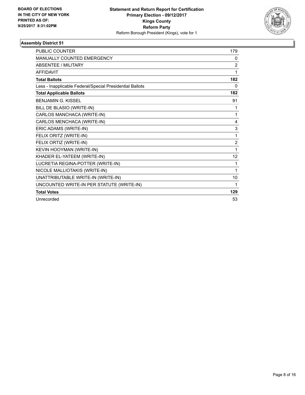

| <b>PUBLIC COUNTER</b>                                    | 179            |
|----------------------------------------------------------|----------------|
| MANUALLY COUNTED EMERGENCY                               | 0              |
| <b>ABSENTEE / MILITARY</b>                               | $\overline{2}$ |
| <b>AFFIDAVIT</b>                                         | 1              |
| <b>Total Ballots</b>                                     | 182            |
| Less - Inapplicable Federal/Special Presidential Ballots | $\Omega$       |
| <b>Total Applicable Ballots</b>                          | 182            |
| <b>BENJAMIN G. KISSEL</b>                                | 91             |
| BILL DE BLASIO (WRITE-IN)                                | 1              |
| CARLOS MANCHACA (WRITE-IN)                               | 1              |
| CARLOS MENCHACA (WRITE-IN)                               | 4              |
| ERIC ADAMS (WRITE-IN)                                    | 3              |
| FELIX ORITZ (WRITE-IN)                                   | 1              |
| FELIX ORTIZ (WRITE-IN)                                   | $\overline{2}$ |
| KEVIN HOOYMAN (WRITE-IN)                                 | 1              |
| KHADER EL-YATEEM (WRITE-IN)                              | 12             |
| LUCRETIA REGINA-POTTER (WRITE-IN)                        | 1              |
| NICOLE MALLIOTAKIS (WRITE-IN)                            | 1              |
| UNATTRIBUTABLE WRITE-IN (WRITE-IN)                       | 10             |
| UNCOUNTED WRITE-IN PER STATUTE (WRITE-IN)                | 1              |
| <b>Total Votes</b>                                       | 129            |
| Unrecorded                                               | 53             |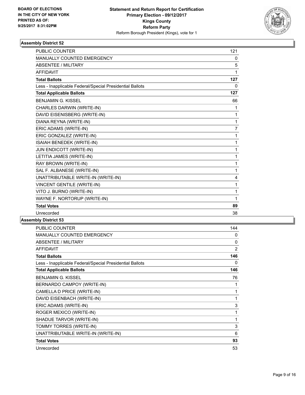

| <b>PUBLIC COUNTER</b>                                    | 121            |
|----------------------------------------------------------|----------------|
| MANUALLY COUNTED EMERGENCY                               | 0              |
| <b>ABSENTEE / MILITARY</b>                               | 5              |
| <b>AFFIDAVIT</b>                                         | 1              |
| <b>Total Ballots</b>                                     | 127            |
| Less - Inapplicable Federal/Special Presidential Ballots | 0              |
| <b>Total Applicable Ballots</b>                          | 127            |
| <b>BENJAMIN G. KISSEL</b>                                | 66             |
| CHARLES DARWIN (WRITE-IN)                                | 1              |
| DAVID EISENISBERG (WRITE-IN)                             | 1              |
| DIANA REYNA (WRITE-IN)                                   | 1              |
| ERIC ADAMS (WRITE-IN)                                    | $\overline{7}$ |
| ERIC GONZALEZ (WRITE-IN)                                 | 1              |
| ISAIAH BENEDEK (WRITE-IN)                                | 1              |
| JUN ENDICOTT (WRITE-IN)                                  | 1              |
| LETITIA JAMES (WRITE-IN)                                 | 1              |
| RAY BROWN (WRITE-IN)                                     | 1              |
| SAL F. ALBANESE (WRITE-IN)                               | 1              |
| UNATTRIBUTABLE WRITE-IN (WRITE-IN)                       | 4              |
| <b>VINCENT GENTILE (WRITE-IN)</b>                        | 1              |
| VITO J. BURNO (WRITE-IN)                                 | 1              |
| WAYNE F. NORTORUP (WRITE-IN)                             | 1              |
| <b>Total Votes</b>                                       | 89             |
| Unrecorded                                               | 38             |

| <b>PUBLIC COUNTER</b>                                    | 144            |
|----------------------------------------------------------|----------------|
| <b>MANUALLY COUNTED EMERGENCY</b>                        | 0              |
| ABSENTEE / MILITARY                                      | 0              |
| <b>AFFIDAVIT</b>                                         | $\overline{2}$ |
| <b>Total Ballots</b>                                     | 146            |
| Less - Inapplicable Federal/Special Presidential Ballots | 0              |
| <b>Total Applicable Ballots</b>                          | 146            |
| <b>BENJAMIN G. KISSEL</b>                                | 76             |
| BERNARDO CAMPOY (WRITE-IN)                               | 1              |
| CAMELLA D PRICE (WRITE-IN)                               | 1              |
| DAVID EISENBACH (WRITE-IN)                               | 1              |
| ERIC ADAMS (WRITE-IN)                                    | 3              |
| ROGER MEXICO (WRITE-IN)                                  | 1              |
| SHADUE TARVOR (WRITE-IN)                                 | 1              |
| TOMMY TORRES (WRITE-IN)                                  | 3              |
| UNATTRIBUTABLE WRITE-IN (WRITE-IN)                       | 6              |
| <b>Total Votes</b>                                       | 93             |
| Unrecorded                                               | 53             |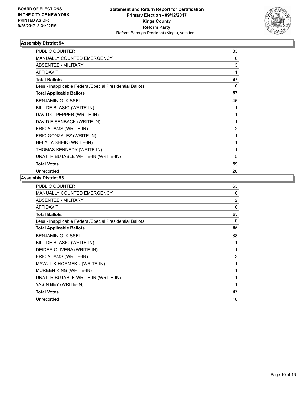

| <b>PUBLIC COUNTER</b>                                    | 83             |
|----------------------------------------------------------|----------------|
| <b>MANUALLY COUNTED EMERGENCY</b>                        | 0              |
| ABSENTEE / MILITARY                                      | 3              |
| <b>AFFIDAVIT</b>                                         | 1              |
| <b>Total Ballots</b>                                     | 87             |
| Less - Inapplicable Federal/Special Presidential Ballots | 0              |
| <b>Total Applicable Ballots</b>                          | 87             |
| <b>BENJAMIN G. KISSEL</b>                                | 46             |
| BILL DE BLASIO (WRITE-IN)                                | 1              |
| DAVID C. PEPPER (WRITE-IN)                               | 1              |
| DAVID EISENBACK (WRITE-IN)                               | 1              |
| ERIC ADAMS (WRITE-IN)                                    | $\overline{2}$ |
| ERIC GONZALEZ (WRITE-IN)                                 | 1              |
| HELAL A SHEIK (WRITE-IN)                                 | 1              |
| THOMAS KENNEDY (WRITE-IN)                                | 1              |
| UNATTRIBUTABLE WRITE-IN (WRITE-IN)                       | 5              |
| <b>Total Votes</b>                                       | 59             |
| Unrecorded                                               | 28             |

| <b>PUBLIC COUNTER</b>                                    | 63             |
|----------------------------------------------------------|----------------|
| <b>MANUALLY COUNTED EMERGENCY</b>                        | 0              |
| <b>ABSENTEE / MILITARY</b>                               | $\overline{2}$ |
| <b>AFFIDAVIT</b>                                         | 0              |
| <b>Total Ballots</b>                                     | 65             |
| Less - Inapplicable Federal/Special Presidential Ballots | 0              |
| <b>Total Applicable Ballots</b>                          | 65             |
| <b>BENJAMIN G. KISSEL</b>                                | 38             |
| BILL DE BLASIO (WRITE-IN)                                |                |
| DEIDER OLIVERA (WRITE-IN)                                | 1              |
| ERIC ADAMS (WRITE-IN)                                    | 3              |
| MAWULIK HORMEKU (WRITE-IN)                               | 1              |
| MUREEN KING (WRITE-IN)                                   | 1              |
| UNATTRIBUTABLE WRITE-IN (WRITE-IN)                       | 1              |
| YASIN BEY (WRITE-IN)                                     | $\mathbf{1}$   |
| <b>Total Votes</b>                                       | 47             |
| Unrecorded                                               | 18             |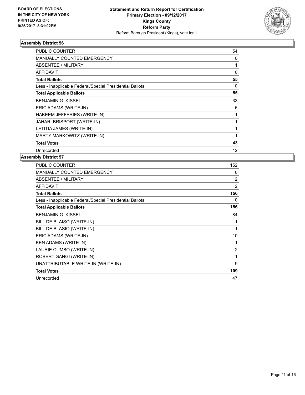

| <b>PUBLIC COUNTER</b>                                    | 54 |
|----------------------------------------------------------|----|
| <b>MANUALLY COUNTED EMERGENCY</b>                        | 0  |
| ABSENTEE / MILITARY                                      | 1  |
| <b>AFFIDAVIT</b>                                         | 0  |
| <b>Total Ballots</b>                                     | 55 |
| Less - Inapplicable Federal/Special Presidential Ballots | 0  |
| <b>Total Applicable Ballots</b>                          | 55 |
| <b>BENJAMIN G. KISSEL</b>                                | 33 |
| ERIC ADAMS (WRITE-IN)                                    | 6  |
| HAKEEM JEFFERIES (WRITE-IN)                              |    |
| JAHARI BRISPORT (WRITE-IN)                               | 1  |
| LETITIA JAMES (WRITE-IN)                                 |    |
| MARTY MARKOWITZ (WRITE-IN)                               | 1  |
| <b>Total Votes</b>                                       | 43 |
| Unrecorded                                               | 12 |

| PUBLIC COUNTER                                           | 152            |
|----------------------------------------------------------|----------------|
| <b>MANUALLY COUNTED EMERGENCY</b>                        | 0              |
| <b>ABSENTEE / MILITARY</b>                               | $\overline{2}$ |
| <b>AFFIDAVIT</b>                                         | $\overline{2}$ |
| <b>Total Ballots</b>                                     | 156            |
| Less - Inapplicable Federal/Special Presidential Ballots | 0              |
| <b>Total Applicable Ballots</b>                          | 156            |
| <b>BENJAMIN G. KISSEL</b>                                | 84             |
| BILL DE BLAISO (WRITE-IN)                                |                |
| BILL DE BLASIO (WRITE-IN)                                | 1              |
| ERIC ADAMS (WRITE-IN)                                    | 10             |
| <b>KEN ADAMS (WRITE-IN)</b>                              | 1              |
| LAURIE CUMBO (WRITE-IN)                                  | $\overline{2}$ |
| ROBERT GANGI (WRITE-IN)                                  | 1              |
| UNATTRIBUTABLE WRITE-IN (WRITE-IN)                       | 9              |
| <b>Total Votes</b>                                       | 109            |
| Unrecorded                                               | 47             |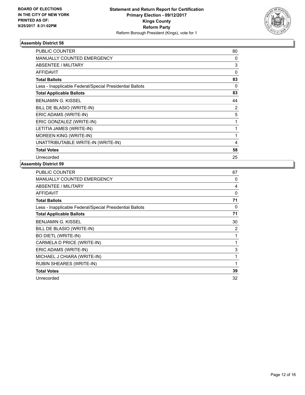

| <b>PUBLIC COUNTER</b>                                    | 80       |
|----------------------------------------------------------|----------|
| <b>MANUALLY COUNTED EMERGENCY</b>                        | 0        |
| ABSENTEE / MILITARY                                      | 3        |
| <b>AFFIDAVIT</b>                                         | $\Omega$ |
| <b>Total Ballots</b>                                     | 83       |
| Less - Inapplicable Federal/Special Presidential Ballots | 0        |
| <b>Total Applicable Ballots</b>                          | 83       |
| <b>BENJAMIN G. KISSEL</b>                                | 44       |
| BILL DE BLASIO (WRITE-IN)                                | 2        |
| ERIC ADAMS (WRITE-IN)                                    | 5        |
| ERIC GONZALEZ (WRITE-IN)                                 | 1        |
| LETITIA JAMES (WRITE-IN)                                 | 1        |
| MOREEN KING (WRITE-IN)                                   | 1        |
| UNATTRIBUTABLE WRITE-IN (WRITE-IN)                       | 4        |
| <b>Total Votes</b>                                       | 58       |
| Unrecorded                                               | 25       |

| PUBLIC COUNTER                                           | 67 |
|----------------------------------------------------------|----|
| <b>MANUALLY COUNTED EMERGENCY</b>                        | 0  |
| ABSENTEE / MILITARY                                      | 4  |
| <b>AFFIDAVIT</b>                                         | 0  |
| <b>Total Ballots</b>                                     | 71 |
| Less - Inapplicable Federal/Special Presidential Ballots | 0  |
| <b>Total Applicable Ballots</b>                          | 71 |
| <b>BENJAMIN G. KISSEL</b>                                | 30 |
| BILL DE BLASIO (WRITE-IN)                                | 2  |
| <b>BO DIETL (WRITE-IN)</b>                               | 1  |
| CARMELA D PRICE (WRITE-IN)                               | 1  |
| ERIC ADAMS (WRITE-IN)                                    | 3  |
| MICHAEL J CHIARA (WRITE-IN)                              | 1  |
| <b>RUBIN SHEARES (WRITE-IN)</b>                          | 1  |
| <b>Total Votes</b>                                       | 39 |
| Unrecorded                                               | 32 |
|                                                          |    |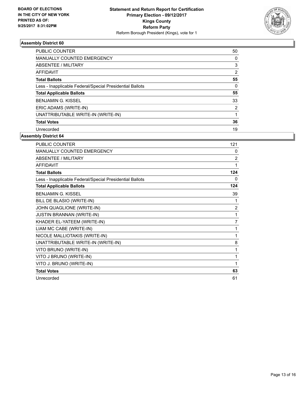

| <b>PUBLIC COUNTER</b>                                    | 50             |
|----------------------------------------------------------|----------------|
| <b>MANUALLY COUNTED EMERGENCY</b>                        | 0              |
| ABSENTEE / MILITARY                                      | 3              |
| AFFIDAVIT                                                | 2              |
| <b>Total Ballots</b>                                     | 55             |
| Less - Inapplicable Federal/Special Presidential Ballots | 0              |
| <b>Total Applicable Ballots</b>                          | 55             |
| <b>BENJAMIN G. KISSEL</b>                                | 33             |
| ERIC ADAMS (WRITE-IN)                                    | $\overline{2}$ |
| UNATTRIBUTABLE WRITE-IN (WRITE-IN)                       |                |
| <b>Total Votes</b>                                       | 36             |
| Unrecorded                                               | 19             |

| <b>PUBLIC COUNTER</b>                                    | 121            |
|----------------------------------------------------------|----------------|
| <b>MANUALLY COUNTED EMERGENCY</b>                        | 0              |
| <b>ABSENTEE / MILITARY</b>                               | $\overline{2}$ |
| <b>AFFIDAVIT</b>                                         | 1              |
| <b>Total Ballots</b>                                     | 124            |
| Less - Inapplicable Federal/Special Presidential Ballots | 0              |
| <b>Total Applicable Ballots</b>                          | 124            |
| <b>BENJAMIN G. KISSEL</b>                                | 39             |
| BILL DE BLASIO (WRITE-IN)                                | 1              |
| JOHN QUAGLIONE (WRITE-IN)                                | $\overline{2}$ |
| <b>JUSTIN BRANNAN (WRITE-IN)</b>                         | 1              |
| KHADER EL-YATEEM (WRITE-IN)                              | 7              |
| LIAM MC CABE (WRITE-IN)                                  | 1              |
| NICOLE MALLIOTAKIS (WRITE-IN)                            | 1              |
| UNATTRIBUTABLE WRITE-IN (WRITE-IN)                       | 8              |
| VITO BRUNO (WRITE-IN)                                    | 1              |
| VITO J BRUNO (WRITE-IN)                                  | 1              |
| VITO J. BRUNO (WRITE-IN)                                 | 1              |
| <b>Total Votes</b>                                       | 63             |
| Unrecorded                                               | 61             |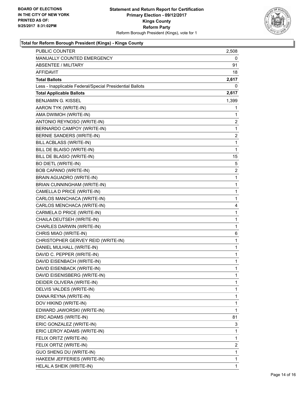

## **Total for Reform Borough President (Kings) - Kings County**

| <b>PUBLIC COUNTER</b>                                    | 2,508        |
|----------------------------------------------------------|--------------|
| MANUALLY COUNTED EMERGENCY                               | 0            |
| <b>ABSENTEE / MILITARY</b>                               | 91           |
| AFFIDAVIT                                                | 18           |
| <b>Total Ballots</b>                                     | 2,617        |
| Less - Inapplicable Federal/Special Presidential Ballots | 0            |
| <b>Total Applicable Ballots</b>                          | 2,617        |
| <b>BENJAMIN G. KISSEL</b>                                | 1,399        |
| AARON TYK (WRITE-IN)                                     | 1            |
| AMA DWIMOH (WRITE-IN)                                    | 1            |
| ANTONIO REYNOSO (WRITE-IN)                               | 2            |
| BERNARDO CAMPOY (WRITE-IN)                               | 1            |
| BERNIE SANDERS (WRITE-IN)                                | 2            |
| BILL ACBLASS (WRITE-IN)                                  | 1            |
| BILL DE BLAISO (WRITE-IN)                                | $\mathbf{1}$ |
| BILL DE BLASIO (WRITE-IN)                                | 15           |
| <b>BO DIETL (WRITE-IN)</b>                               | 5            |
| BOB CAPANO (WRITE-IN)                                    | 2            |
| BRAIN AGUADRO (WRITE-IN)                                 | 1            |
| BRIAN CUNNINGHAM (WRITE-IN)                              | 1            |
| CAMELLA D PRICE (WRITE-IN)                               | 1            |
| CARLOS MANCHACA (WRITE-IN)                               | 1            |
| CARLOS MENCHACA (WRITE-IN)                               | 4            |
| CARMELA D PRICE (WRITE-IN)                               | 1            |
| CHAILA DEUTSEH (WRITE-IN)                                | 1            |
| CHARLES DARWIN (WRITE-IN)                                | 1            |
| CHRIS MIAO (WRITE-IN)                                    | 6            |
| CHRISTOPHER GERVEY REID (WRITE-IN)                       | 1            |
| DANIEL MULHALL (WRITE-IN)                                | 1            |
| DAVID C. PEPPER (WRITE-IN)                               | 1            |
| DAVID EISENBACH (WRITE-IN)                               | 1            |
| DAVID EISENBACK (WRITE-IN)                               | 1            |
| DAVID EISENISBERG (WRITE-IN)                             | 1            |
| DEIDER OLIVERA (WRITE-IN)                                | 1            |
| DELVIS VALDES (WRITE-IN)                                 | 1            |
| DIANA REYNA (WRITE-IN)                                   | 1            |
| DOV HIKIND (WRITE-IN)                                    | 1            |
| EDWARD JAWORSKI (WRITE-IN)                               | 1            |
| ERIC ADAMS (WRITE-IN)                                    | 81           |
| ERIC GONZALEZ (WRITE-IN)                                 | 3            |
| ERIC LEROY ADAMS (WRITE-IN)                              | 1            |
| FELIX ORITZ (WRITE-IN)                                   | 1            |
| FELIX ORTIZ (WRITE-IN)                                   | 2            |
| GUO SHENG DU (WRITE-IN)                                  | 1            |
| HAKEEM JEFFERIES (WRITE-IN)                              | 1            |
| HELAL A SHEIK (WRITE-IN)                                 | 1            |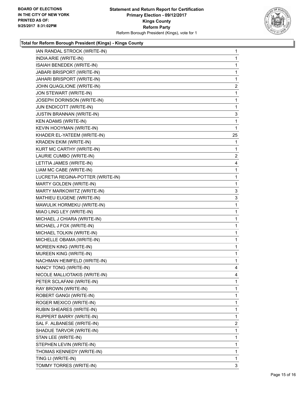

## **Total for Reform Borough President (Kings) - Kings County**

| IAN RANDAL STROCK (WRITE-IN)      | 1              |
|-----------------------------------|----------------|
| INDIA ARIE (WRITE-IN)             | 1              |
| ISAIAH BENEDEK (WRITE-IN)         | 1              |
| JABARI BRISPORT (WRITE-IN)        | 1              |
| JAHARI BRISPORT (WRITE-IN)        | 1              |
| JOHN QUAGLIONE (WRITE-IN)         | 2              |
| JON STEWART (WRITE-IN)            | 1              |
| JOSEPH DORINSON (WRITE-IN)        | 1              |
| JUN ENDICOTT (WRITE-IN)           | 1              |
| <b>JUSTIN BRANNAN (WRITE-IN)</b>  | 3              |
| KEN ADAMS (WRITE-IN)              | 1              |
| KEVIN HOOYMAN (WRITE-IN)          | 1              |
| KHADER EL-YATEEM (WRITE-IN)       | 25             |
| KRADEN EKIM (WRITE-IN)            | 1              |
| KURT MC CARTHY (WRITE-IN)         | 1              |
| LAURIE CUMBO (WRITE-IN)           | $\overline{c}$ |
| LETITIA JAMES (WRITE-IN)          | 4              |
| LIAM MC CABE (WRITE-IN)           | 1              |
| LUCRETIA REGINA-POTTER (WRITE-IN) | 1              |
| MARTY GOLDEN (WRITE-IN)           | 1              |
| MARTY MARKOWITZ (WRITE-IN)        | 3              |
| MATHIEU EUGENE (WRITE-IN)         | 3              |
| MAWULIK HORMEKU (WRITE-IN)        | 1              |
| MIAO LING LEY (WRITE-IN)          | 1              |
| MICHAEL J CHIARA (WRITE-IN)       | 1              |
| MICHAEL J FOX (WRITE-IN)          | 1              |
| MICHAEL TOLKIN (WRITE-IN)         | 1              |
| MICHELLE OBAMA (WRITE-IN)         | 1              |
| MOREEN KING (WRITE-IN)            | 1              |
| MUREEN KING (WRITE-IN)            | 1              |
| NACHMAN HEIMFELD (WRITE-IN)       | 1              |
| NANCY TONG (WRITE-IN)             | 4              |
| NICOLE MALLIOTAKIS (WRITE-IN)     | 4              |
| PETER SCLAFANI (WRITE-IN)         | 1              |
| RAY BROWN (WRITE-IN)              | 1              |
| ROBERT GANGI (WRITE-IN)           | 1              |
| ROGER MEXICO (WRITE-IN)           | 1              |
| <b>RUBIN SHEARES (WRITE-IN)</b>   | 1              |
| RUPPERT BARRY (WRITE-IN)          | 1              |
| SAL F. ALBANESE (WRITE-IN)        | 2              |
| SHADUE TARVOR (WRITE-IN)          | 1              |
| STAN LEE (WRITE-IN)               | 1              |
| STEPHEN LEVIN (WRITE-IN)          | 1              |
| THOMAS KENNEDY (WRITE-IN)         | 1              |
| TING LI (WRITE-IN)                | 1              |
| TOMMY TORRES (WRITE-IN)           | 3              |
|                                   |                |